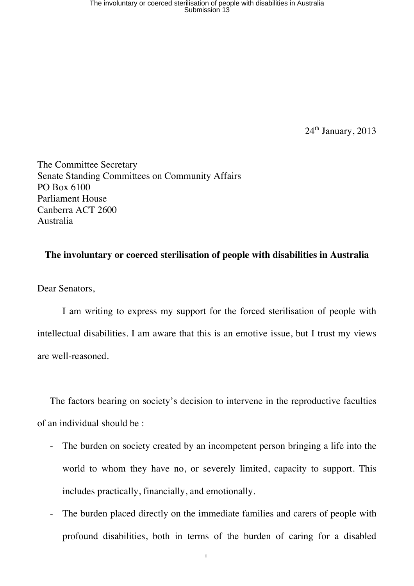24<sup>th</sup> January, 2013

The Committee Secretary Senate Standing Committees on Community Affairs PO Box 6100 Parliament House Canberra ACT 2600 Australia

## **The involuntary or coerced sterilisation of people with disabilities in Australia**

Dear Senators,

I am writing to express my support for the forced sterilisation of people with intellectual disabilities. I am aware that this is an emotive issue, but I trust my views are well-reasoned.

The factors bearing on society's decision to intervene in the reproductive faculties of an individual should be :

- The burden on society created by an incompetent person bringing a life into the world to whom they have no, or severely limited, capacity to support. This includes practically, financially, and emotionally.
- The burden placed directly on the immediate families and carers of people with profound disabilities, both in terms of the burden of caring for a disabled

1.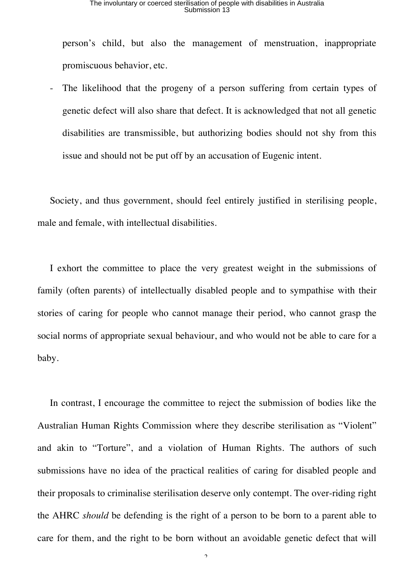person's child, but also the management of menstruation, inappropriate promiscuous behavior, etc.

The likelihood that the progeny of a person suffering from certain types of genetic defect will also share that defect. It is acknowledged that not all genetic disabilities are transmissible, but authorizing bodies should not shy from this issue and should not be put off by an accusation of Eugenic intent.

Society, and thus government, should feel entirely justified in sterilising people, male and female, with intellectual disabilities.

I exhort the committee to place the very greatest weight in the submissions of family (often parents) of intellectually disabled people and to sympathise with their stories of caring for people who cannot manage their period, who cannot grasp the social norms of appropriate sexual behaviour, and who would not be able to care for a baby.

In contrast, I encourage the committee to reject the submission of bodies like the Australian Human Rights Commission where they describe sterilisation as "Violent" and akin to "Torture", and a violation of Human Rights. The authors of such submissions have no idea of the practical realities of caring for disabled people and their proposals to criminalise sterilisation deserve only contempt. The over-riding right the AHRC *should* be defending is the right of a person to be born to a parent able to care for them, and the right to be born without an avoidable genetic defect that will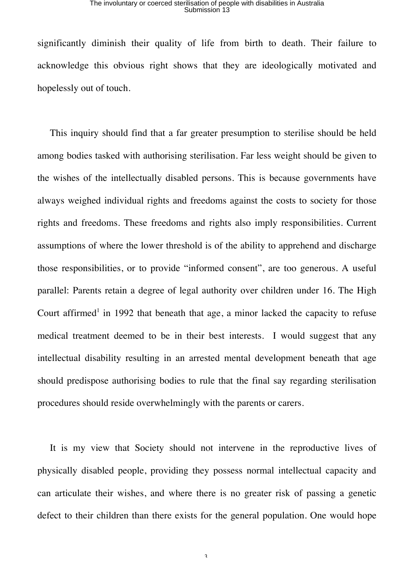## The involuntary or coerced sterilisation of people with disabilities in Australia Submission 13

significantly diminish their quality of life from birth to death. Their failure to acknowledge this obvious right shows that they are ideologically motivated and hopelessly out of touch.

This inquiry should find that a far greater presumption to sterilise should be held among bodies tasked with authorising sterilisation. Far less weight should be given to the wishes of the intellectually disabled persons. This is because governments have always weighed individual rights and freedoms against the costs to society for those rights and freedoms. These freedoms and rights also imply responsibilities. Current assumptions of where the lower threshold is of the ability to apprehend and discharge those responsibilities, or to provide "informed consent", are too generous. A useful parallel: Parents retain a degree of legal authority over children under 16. The High Court affirmed<sup>1</sup> in 1992 that beneath that age, a minor lacked the capacity to refuse medical treatment deemed to be in their best interests. I would suggest that any intellectual disability resulting in an arrested mental development beneath that age should predispose authorising bodies to rule that the final say regarding sterilisation procedures should reside overwhelmingly with the parents or carers.

It is my view that Society should not intervene in the reproductive lives of physically disabled people, providing they possess normal intellectual capacity and can articulate their wishes, and where there is no greater risk of passing a genetic defect to their children than there exists for the general population. One would hope